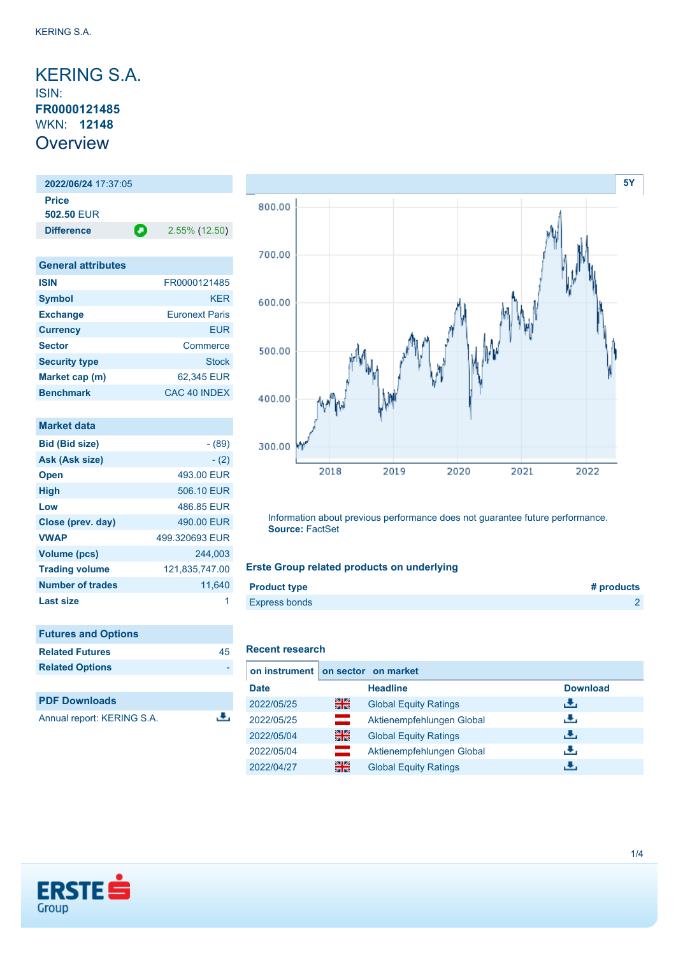## <span id="page-0-0"></span>KERING S.A. ISIN: **FR0000121485** WKN: **12148 Overview**

### **2022/06/24** 17:37:05 **Price 502.50** EUR

**Difference 2.55% (12.50)** 

| <b>General attributes</b> |                       |
|---------------------------|-----------------------|
| <b>ISIN</b>               | FR0000121485          |
| <b>Symbol</b>             | <b>KER</b>            |
| <b>Exchange</b>           | <b>Furonext Paris</b> |
| <b>Currency</b>           | FUR                   |
| <b>Sector</b>             | Commerce              |
| <b>Security type</b>      | <b>Stock</b>          |
| Market cap (m)            | 62,345 EUR            |
| <b>Benchmark</b>          | CAC 40 INDEX          |

| Market data           |                |
|-----------------------|----------------|
| <b>Bid (Bid size)</b> | - (89)         |
| Ask (Ask size)        | $- (2)$        |
| <b>Open</b>           | 493.00 EUR     |
| <b>High</b>           | 506.10 EUR     |
| Low                   | 486.85 EUR     |
| Close (prev. day)     | 490.00 EUR     |
| <b>VWAP</b>           | 499.320693 EUR |
| Volume (pcs)          | 244,003        |
| <b>Trading volume</b> | 121,835,747.00 |
| Number of trades      | 11,640         |
| <b>Last size</b>      |                |

| <b>Futures and Options</b> |    |
|----------------------------|----|
| <b>Related Futures</b>     | 45 |
| <b>Related Options</b>     |    |
|                            |    |
| <b>PDF Downloads</b>       |    |

| Annual report: KERING S.A. |  |
|----------------------------|--|
|----------------------------|--|



Information about previous performance does not guarantee future performance. **Source:** FactSet

### **Erste Group related products on underlying**

| <b>Product type</b>  | # products |
|----------------------|------------|
| <b>Express bonds</b> |            |

#### **Recent research**

J.

| on instrument   on sector on market |          |                              |                 |
|-------------------------------------|----------|------------------------------|-----------------|
| <b>Date</b>                         |          | <b>Headline</b>              | <b>Download</b> |
| 2022/05/25                          | 을중       | <b>Global Equity Ratings</b> | đ۴,             |
| 2022/05/25                          | and a    | Aktienempfehlungen Global    | رنان            |
| 2022/05/04                          | 을중       | <b>Global Equity Ratings</b> | رنان            |
| 2022/05/04                          | $\equiv$ | Aktienempfehlungen Global    | æ,              |
| 2022/04/27                          | 을중       | <b>Global Equity Ratings</b> |                 |

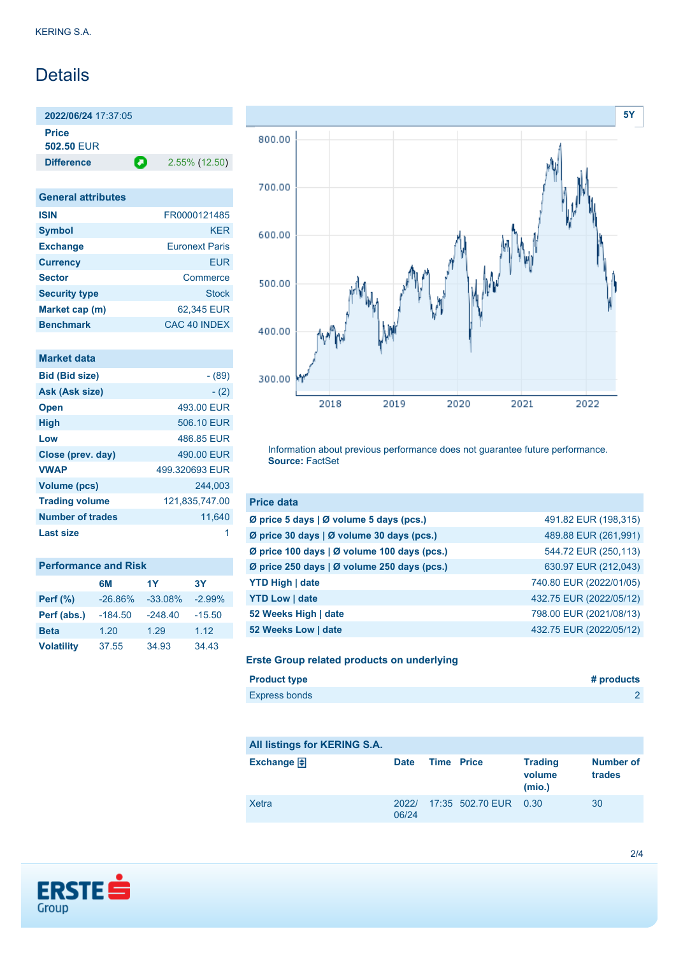# **Details**

**2022/06/24** 17:37:05 **Price 502.50** EUR

**Difference 2.55% (12.50)** 

| <b>General attributes</b> |                       |
|---------------------------|-----------------------|
| <b>ISIN</b>               | FR0000121485          |
| <b>Symbol</b>             | <b>KER</b>            |
| <b>Exchange</b>           | <b>Furonext Paris</b> |
| <b>Currency</b>           | FUR                   |
| <b>Sector</b>             | Commerce              |
| <b>Security type</b>      | Stock                 |
| Market cap (m)            | 62,345 EUR            |
| <b>Benchmark</b>          | CAC 40 INDFX          |

|  | <b>Market data</b> |  |  |
|--|--------------------|--|--|
|  |                    |  |  |

| <b>Bid (Bid size)</b>   | - (89)         |
|-------------------------|----------------|
| Ask (Ask size)          | $- (2)$        |
| <b>Open</b>             | 493.00 EUR     |
| <b>High</b>             | 506.10 EUR     |
| Low                     | 486.85 EUR     |
| Close (prev. day)       | 490.00 EUR     |
| <b>VWAP</b>             | 499.320693 EUR |
| <b>Volume (pcs)</b>     | 244.003        |
| <b>Trading volume</b>   | 121,835,747.00 |
| <b>Number of trades</b> | 11,640         |
| Last size               |                |

| <b>Performance and Risk</b> |           |           |          |
|-----------------------------|-----------|-----------|----------|
|                             | 6M        | 1Y        | 3Υ       |
| <b>Perf</b> (%)             | $-26.86%$ | $-33.08%$ | $-2.99%$ |
| Perf (abs.)                 | $-184.50$ | $-248.40$ | $-15.50$ |
| <b>Beta</b>                 | 1.20      | 1.29      | 1.12     |
| <b>Volatility</b>           | 37.55     | 34.93     | 34.43    |



Information about previous performance does not guarantee future performance. **Source:** FactSet

| <b>Price data</b>                                         |                         |
|-----------------------------------------------------------|-------------------------|
| $\emptyset$ price 5 days $\emptyset$ volume 5 days (pcs.) | 491.82 EUR (198,315)    |
| Ø price 30 days   Ø volume 30 days (pcs.)                 | 489.88 EUR (261,991)    |
| Ø price 100 days   Ø volume 100 days (pcs.)               | 544.72 EUR (250,113)    |
| Ø price 250 days   Ø volume 250 days (pcs.)               | 630.97 EUR (212,043)    |
| <b>YTD High   date</b>                                    | 740.80 EUR (2022/01/05) |
| <b>YTD Low   date</b>                                     | 432.75 EUR (2022/05/12) |
| 52 Weeks High   date                                      | 798.00 EUR (2021/08/13) |
| 52 Weeks Low   date                                       | 432.75 EUR (2022/05/12) |

### **Erste Group related products on underlying**

| <b>Product type</b>  | # products |
|----------------------|------------|
| <b>Express bonds</b> |            |

| All listings for KERING S.A. |                |                       |                                    |                     |
|------------------------------|----------------|-----------------------|------------------------------------|---------------------|
| Exchange $\bigoplus$         | <b>Date</b>    | <b>Time Price</b>     | <b>Trading</b><br>volume<br>(mio.) | Number of<br>trades |
| Xetra                        | 2022/<br>06/24 | 17:35 502.70 EUR 0.30 |                                    | 30                  |

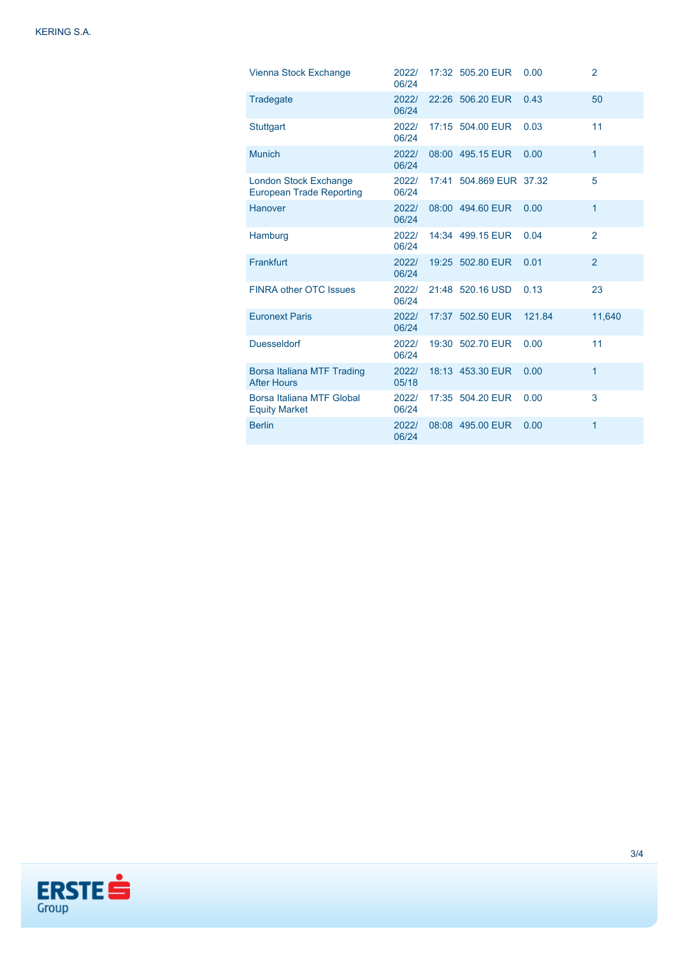| Vienna Stock Exchange                                           | 2022/<br>06/24 | 17:32 505.20 EUR        | 0.00   | $\overline{2}$ |
|-----------------------------------------------------------------|----------------|-------------------------|--------|----------------|
| Tradegate                                                       | 2022/<br>06/24 | 22:26 506.20 EUR        | 0.43   | 50             |
| <b>Stuttgart</b>                                                | 2022/<br>06/24 | 17:15 504.00 EUR        | 0.03   | 11             |
| <b>Munich</b>                                                   | 2022/<br>06/24 | 08:00 495.15 EUR        | 0.00   | 1              |
| <b>London Stock Exchange</b><br><b>European Trade Reporting</b> | 2022/<br>06/24 | 17:41 504.869 EUR 37.32 |        | 5              |
| Hanover                                                         | 2022/<br>06/24 | 08:00 494.60 EUR        | 0.00   | 1              |
| Hamburg                                                         | 2022/<br>06/24 | 14:34 499.15 EUR        | 0.04   | $\overline{2}$ |
| Frankfurt                                                       | 2022/<br>06/24 | 19:25 502.80 EUR        | 0.01   | $\overline{2}$ |
| <b>FINRA other OTC Issues</b>                                   | 2022/<br>06/24 | 21:48 520.16 USD        | 0.13   | 23             |
| <b>Euronext Paris</b>                                           | 2022/<br>06/24 | 17:37 502.50 EUR        | 121.84 | 11,640         |
| <b>Duesseldorf</b>                                              | 2022/<br>06/24 | 19:30 502.70 EUR        | 0.00   | 11             |
| Borsa Italiana MTF Trading<br><b>After Hours</b>                | 2022/<br>05/18 | 18:13 453.30 EUR        | 0.00   | 1              |
| Borsa Italiana MTF Global<br><b>Equity Market</b>               | 2022/<br>06/24 | 17:35 504.20 EUR        | 0.00   | 3              |
| <b>Berlin</b>                                                   | 2022/<br>06/24 | 08:08 495.00 EUR        | 0.00   | 1              |